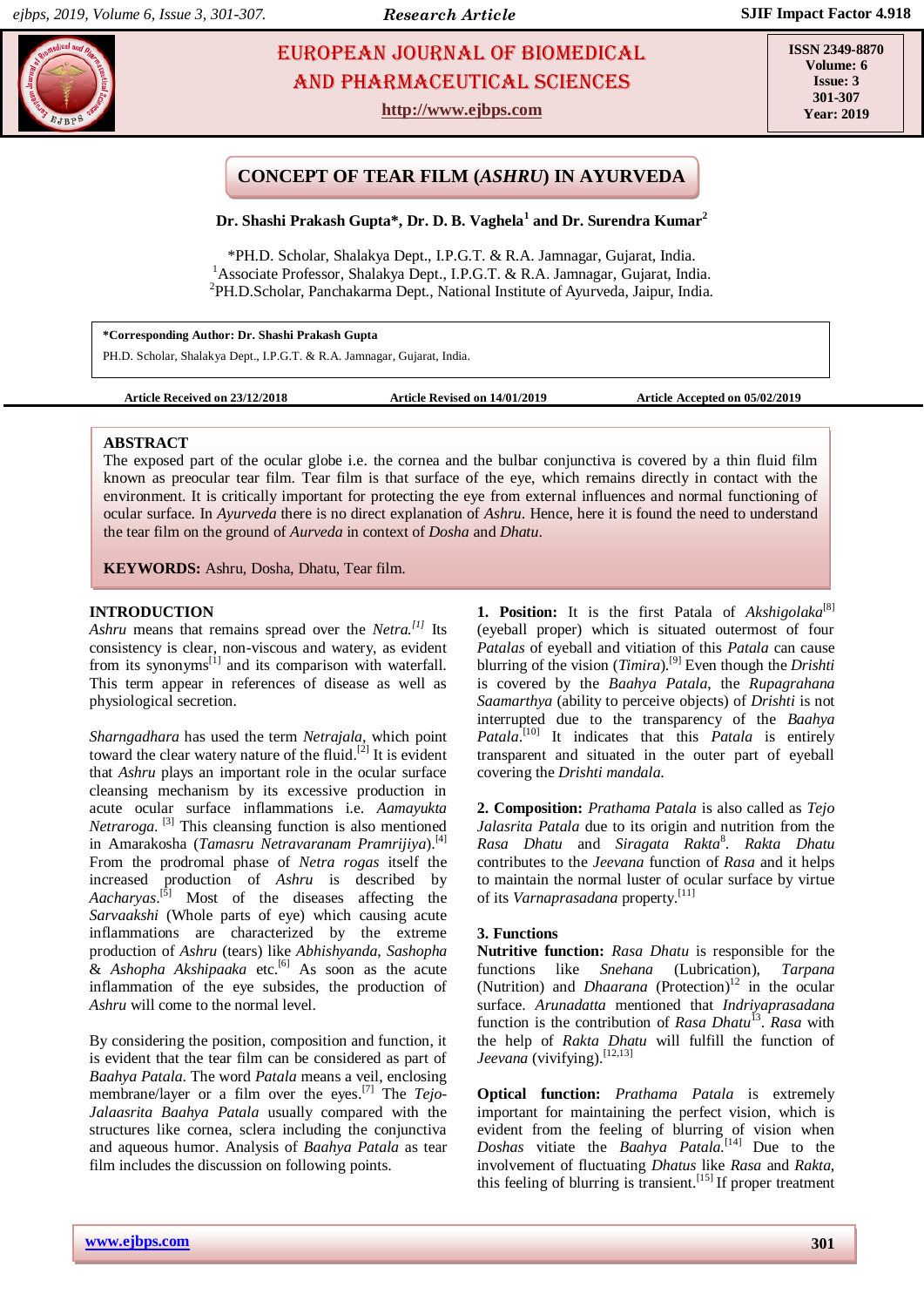# **EUROPEAN JOURNAL OF BIOMEDICAL AND SEXUAL SEXUAL SEXUAL SCIENCES** AND Pharmaceutical sciences

**http://www.ejbps.com**

**ISSN 2349-8870 Volume: 6 Issue: 3 301-307 Year: 2019**

# **CONCEPT OF TEAR FILM (***ASHRU***) IN AYURVEDA**

**Dr. Shashi Prakash Gupta\*, Dr. D. B. Vaghela<sup>1</sup> and Dr. Surendra Kumar<sup>2</sup>**

\*PH.D. Scholar, Shalakya Dept., I.P.G.T. & R.A. Jamnagar, Gujarat, India. <sup>1</sup> Associate Professor, Shalakya Dept., I.P.G.T. & R.A. Jamnagar, Gujarat, India. 2 PH.D.Scholar, Panchakarma Dept., National Institute of Ayurveda, Jaipur, India.

**\*Corresponding Author: Dr. Shashi Prakash Gupta** PH.D. Scholar, Shalakya Dept., I.P.G.T. & R.A. Jamnagar, Gujarat, India.

**Article Received on 23/12/2018 Article Revised on 14/01/2019 Article Accepted on 05/02/2019**

### **ABSTRACT**

The exposed part of the ocular globe i.e. the cornea and the bulbar conjunctiva is covered by a thin fluid film known as preocular tear film. Tear film is that surface of the eye, which remains directly in contact with the environment. It is critically important for protecting the eye from external influences and normal functioning of ocular surface. In *Ayurveda* there is no direct explanation of *Ashru*. Hence, here it is found the need to understand the tear film on the ground of *Aurveda* in context of *Dosha* and *Dhatu*.

**KEYWORDS:** Ashru, Dosha, Dhatu, Tear film.

### **INTRODUCTION**

*Ashru* means that remains spread over the *Netra. [1]* Its consistency is clear, non-viscous and watery, as evident from its synonyms $^{[1]}$  and its comparison with waterfall. This term appear in references of disease as well as physiological secretion.

*Sharngadhara* has used the term *Netrajala*, which point toward the clear watery nature of the fluid.<sup>[2]</sup> It is evident that *Ashru* plays an important role in the ocular surface cleansing mechanism by its excessive production in acute ocular surface inflammations i.e. *Aamayukta Netraroga*. [3] This cleansing function is also mentioned in Amarakosha (*Tamasru Netravaranam Pramrijiya*). [4] From the prodromal phase of *Netra rogas* itself the increased production of *Ashru* is described by *Aacharyas*. [5] Most of the diseases affecting the *Sarvaakshi* (Whole parts of eye) which causing acute inflammations are characterized by the extreme production of *Ashru* (tears) like *Abhishyanda*, *Sashopha*  & *Ashopha Akshipaaka* etc. [6] As soon as the acute inflammation of the eye subsides, the production of *Ashru* will come to the normal level.

By considering the position, composition and function, it is evident that the tear film can be considered as part of *Baahya Patala*. The word *Patala* means a veil, enclosing membrane/layer or a film over the eyes. [7] The *Tejo-Jalaasrita Baahya Patala* usually compared with the structures like cornea, sclera including the conjunctiva and aqueous humor. Analysis of *Baahya Patala* as tear film includes the discussion on following points.

1. Position: It is the first Patala of *Akshigolaka*<sup>[8]</sup> (eyeball proper) which is situated outermost of four *Patalas* of eyeball and vitiation of this *Patala* can cause blurring of the vision (*Timira*). [9] Even though the *Drishti*  is covered by the *Baahya Patala*, the *Rupagrahana Saamarthya* (ability to perceive objects) of *Drishti* is not interrupted due to the transparency of the *Baahya Patala*. [10] It indicates that this *Patala* is entirely transparent and situated in the outer part of eyeball covering the *Drishti mandala*.

**2. Composition:** *Prathama Patala* is also called as *Tejo Jalasrita Patala* due to its origin and nutrition from the *Rasa Dhatu* and *Siragata Rakta*<sup>8</sup> . *Rakta Dhatu* contributes to the *Jeevana* function of *Rasa* and it helps to maintain the normal luster of ocular surface by virtue of its *Varnaprasadana* property. [11]

#### **3. Functions**

**Nutritive function:** *Rasa Dhatu* is responsible for the functions like *Snehana* (Lubrication), *Tarpana*  (Nutrition) and *Dhaarana* (Protection)<sup>12</sup> in the ocular surface. *Arunadatta* mentioned that *Indriyaprasadana*  function is the contribution of *Rasa Dhatu*<sup>13</sup>. *Rasa* with the help of *Rakta Dhatu* will fulfill the function of Jeevana (vivifying).<sup>[12,13]</sup>

**Optical function:** *Prathama Patala* is extremely important for maintaining the perfect vision, which is evident from the feeling of blurring of vision when *Doshas* vitiate the *Baahya Patala.* [14] Due to the involvement of fluctuating *Dhatus* like *Rasa* and *Rakta*, this feeling of blurring is transient.<sup>[15]</sup> If proper treatment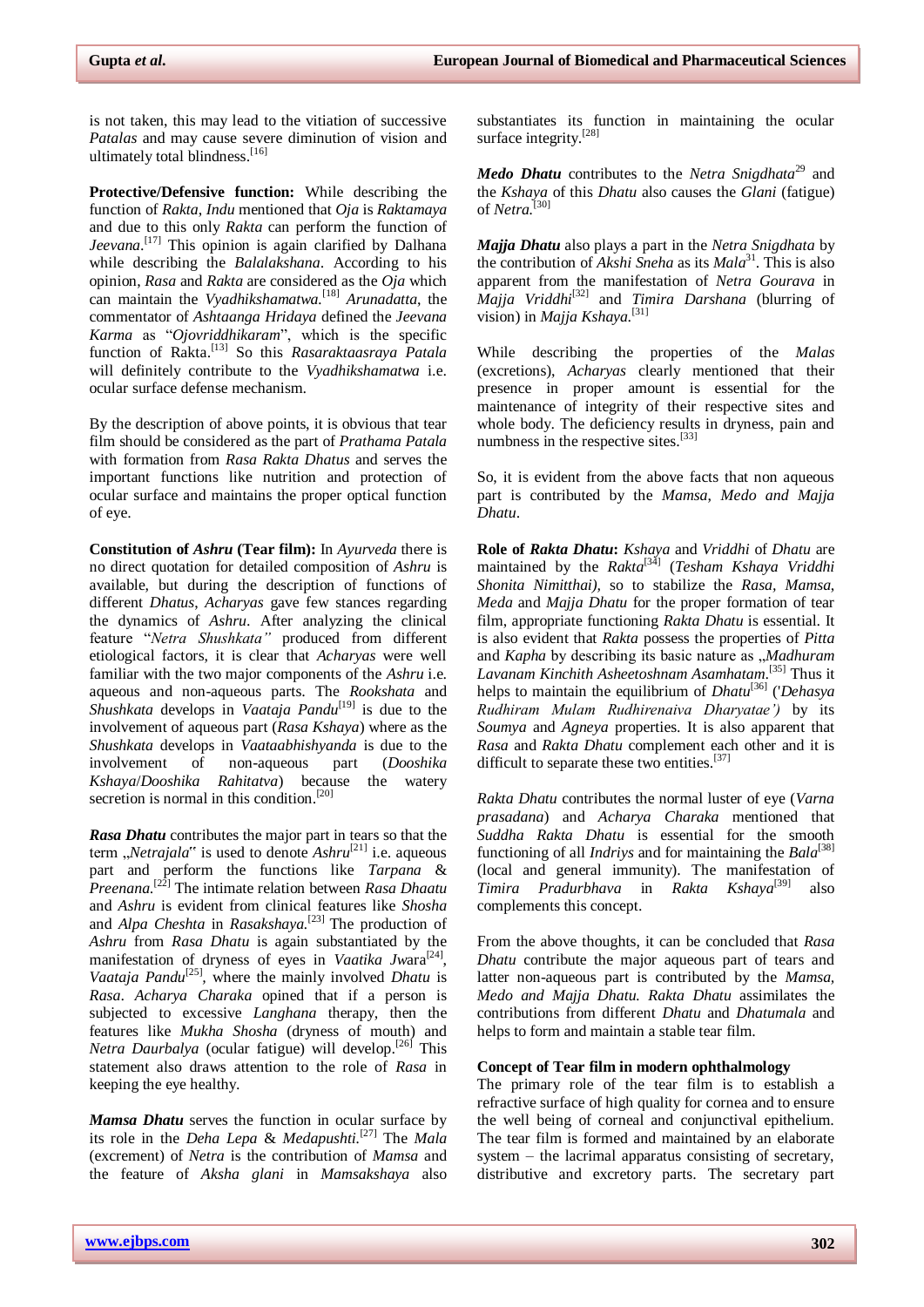is not taken, this may lead to the vitiation of successive *Patalas* and may cause severe diminution of vision and ultimately total blindness.<sup>[16]</sup>

**Protective/Defensive function:** While describing the function of *Rakta*, *Indu* mentioned that *Oja* is *Raktamaya*  and due to this only *Rakta* can perform the function of *Jeevana*. [17] This opinion is again clarified by Dalhana while describing the *Balalakshana*. According to his opinion, *Rasa* and *Rakta* are considered as the *Oja* which can maintain the *Vyadhikshamatwa.* [18] *Arunadatta*, the commentator of *Ashtaanga Hridaya* defined the *Jeevana Karma* as "*Ojovriddhikaram*", which is the specific function of Rakta. [13] So this *Rasaraktaasraya Patala*  will definitely contribute to the *Vyadhikshamatwa* i.e. ocular surface defense mechanism.

By the description of above points, it is obvious that tear film should be considered as the part of *Prathama Patala*  with formation from *Rasa Rakta Dhatus* and serves the important functions like nutrition and protection of ocular surface and maintains the proper optical function of eye.

**Constitution of** *Ashru* **(Tear film):** In *Ayurveda* there is no direct quotation for detailed composition of *Ashru* is available, but during the description of functions of different *Dhatus*, *Acharyas* gave few stances regarding the dynamics of *Ashru*. After analyzing the clinical feature "*Netra Shushkata"* produced from different etiological factors, it is clear that *Acharyas* were well familiar with the two major components of the *Ashru* i.e. aqueous and non-aqueous parts. The *Rookshata* and *Shushkata* develops in *Vaataja Pandu*[19] is due to the involvement of aqueous part (*Rasa Kshaya*) where as the *Shushkata* develops in *Vaataabhishyanda* is due to the involvement of non-aqueous part (*Dooshika Kshaya*/*Dooshika Rahitatva*) because the watery secretion is normal in this condition.<sup>[20]</sup>

*Rasa Dhatu* contributes the major part in tears so that the term "*Netrajala*" is used to denote *Ashru*<sup>[21]</sup> i.e. aqueous part and perform the functions like *Tarpana* & *Preenana*. [22] The intimate relation between *Rasa Dhaatu*  and *Ashru* is evident from clinical features like *Shosha*  and *Alpa Cheshta* in *Rasakshaya.* [23] The production of *Ashru* from *Rasa Dhatu* is again substantiated by the manifestation of dryness of eyes in *Vaatika Jwara*<sup>[24]</sup>, *Vaataja Pandu*[25] *,* where the mainly involved *Dhatu* is *Rasa*. *Acharya Charaka* opined that if a person is subjected to excessive *Langhana* therapy, then the features like *Mukha Shosha* (dryness of mouth) and *Netra Daurbalya* (ocular fatigue) will develop. [26] This statement also draws attention to the role of *Rasa* in keeping the eye healthy.

*Mamsa Dhatu* serves the function in ocular surface by its role in the *Deha Lepa* & *Medapushti.* [27] The *Mala*  (excrement) of *Netra* is the contribution of *Mamsa* and the feature of *Aksha glani* in *Mamsakshaya* also substantiates its function in maintaining the ocular surface integrity.<sup>[28]</sup>

*Medo Dhatu* contributes to the *Netra Snigdhata*<sup>29</sup> and the *Kshaya* of this *Dhatu* also causes the *Glani* (fatigue) of *Netra.* [30]

*Majja Dhatu* also plays a part in the *Netra Snigdhata* by the contribution of *Akshi Sneha* as its *Mala*<sup>31</sup>. This is also apparent from the manifestation of *Netra Gourava* in *Majja Vriddhi*[32] and *Timira Darshana* (blurring of vision) in *Majja Kshaya*.<sup>[31]</sup>

While describing the properties of the *Malas*  (excretions), *Acharyas* clearly mentioned that their presence in proper amount is essential for the maintenance of integrity of their respective sites and whole body. The deficiency results in dryness, pain and numbness in the respective sites.<sup>[33]</sup>

So, it is evident from the above facts that non aqueous part is contributed by the *Mamsa*, *Medo and Majja Dhatu*.

**Role of** *Rakta Dhatu***:** *Kshaya* and *Vriddhi* of *Dhatu* are maintained by the *Rakta*[34] (*Tesham Kshaya Vriddhi Shonita Nimitthai),* so to stabilize the *Rasa, Mamsa*, *Meda* and *Majja Dhatu* for the proper formation of tear film, appropriate functioning *Rakta Dhatu* is essential. It is also evident that *Rakta* possess the properties of *Pitta*  and *Kapha* by describing its basic nature as "*Madhuram Lavanam Kinchith Asheetoshnam Asamhatam*. [35] Thus it helps to maintain the equilibrium of *Dhatu*[36] ('*Dehasya Rudhiram Mulam Rudhirenaiva Dharyatae')* by its *Soumya* and *Agneya* properties. It is also apparent that *Rasa* and *Rakta Dhatu* complement each other and it is difficult to separate these two entities.<sup>[37]</sup>

*Rakta Dhatu* contributes the normal luster of eye (*Varna prasadana*) and *Acharya Charaka* mentioned that *Suddha Rakta Dhatu* is essential for the smooth functioning of all *Indriys* and for maintaining the *Bala*[38] (local and general immunity). The manifestation of *Timira Pradurbhava* in *Rakta Kshaya*[39] also complements this concept.

From the above thoughts, it can be concluded that *Rasa Dhatu* contribute the major aqueous part of tears and latter non-aqueous part is contributed by the *Mamsa, Medo and Majja Dhatu. Rakta Dhatu* assimilates the contributions from different *Dhatu* and *Dhatumala* and helps to form and maintain a stable tear film.

#### **Concept of Tear film in modern ophthalmology**

The primary role of the tear film is to establish a refractive surface of high quality for cornea and to ensure the well being of corneal and conjunctival epithelium. The tear film is formed and maintained by an elaborate system – the lacrimal apparatus consisting of secretary, distributive and excretory parts. The secretary part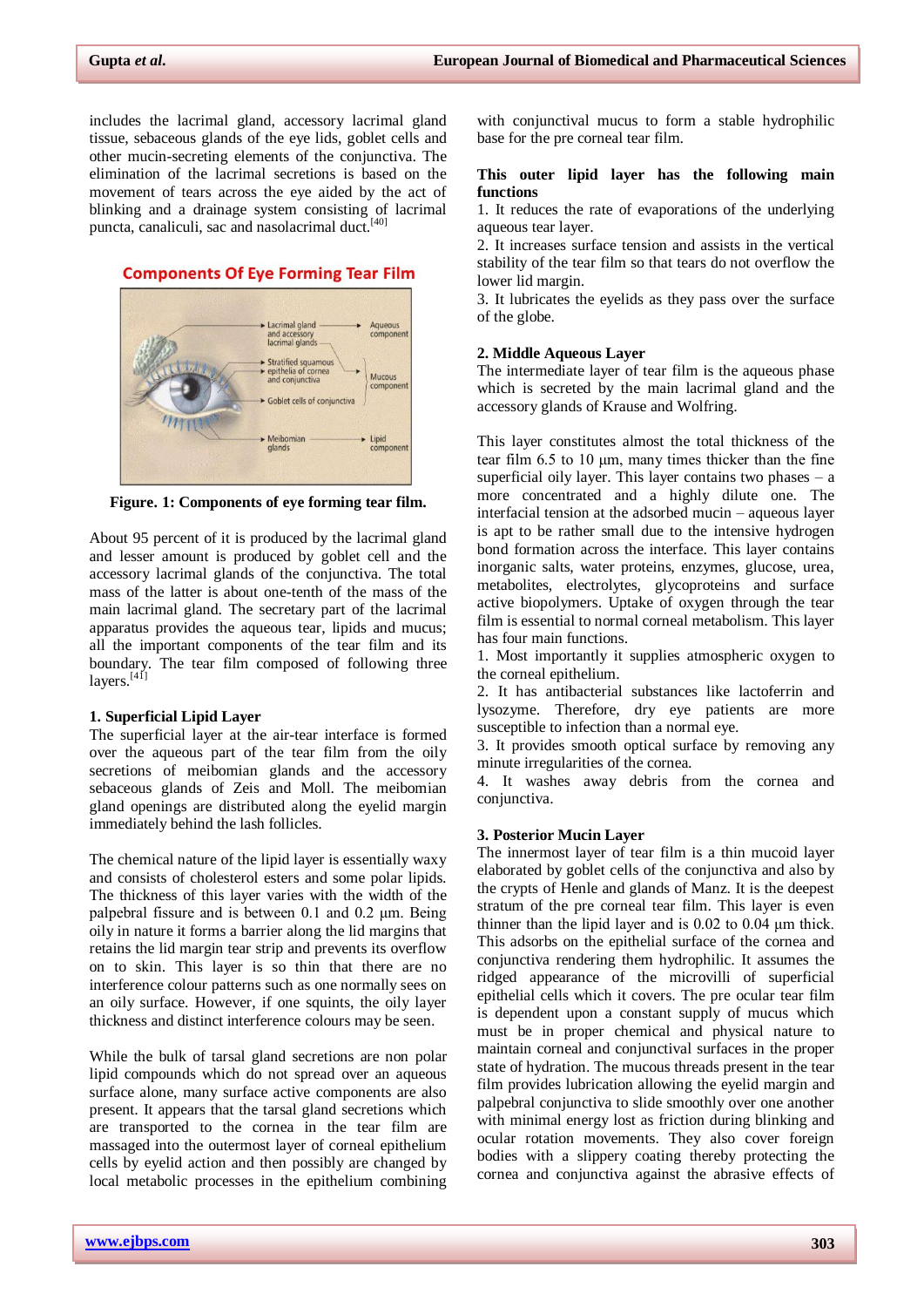includes the lacrimal gland, accessory lacrimal gland tissue, sebaceous glands of the eye lids, goblet cells and other mucin-secreting elements of the conjunctiva. The elimination of the lacrimal secretions is based on the movement of tears across the eye aided by the act of blinking and a drainage system consisting of lacrimal puncta, canaliculi, sac and nasolacrimal duct.<sup>[40]</sup>

### **Components Of Eye Forming Tear Film**



**Figure. 1: Components of eye forming tear film.**

About 95 percent of it is produced by the lacrimal gland and lesser amount is produced by goblet cell and the accessory lacrimal glands of the conjunctiva. The total mass of the latter is about one-tenth of the mass of the main lacrimal gland. The secretary part of the lacrimal apparatus provides the aqueous tear, lipids and mucus; all the important components of the tear film and its boundary. The tear film composed of following three layers.<sup>[41]</sup>

#### **1. Superficial Lipid Layer**

The superficial layer at the air-tear interface is formed over the aqueous part of the tear film from the oily secretions of meibomian glands and the accessory sebaceous glands of Zeis and Moll. The meibomian gland openings are distributed along the eyelid margin immediately behind the lash follicles.

The chemical nature of the lipid layer is essentially waxy and consists of cholesterol esters and some polar lipids. The thickness of this layer varies with the width of the palpebral fissure and is between 0.1 and 0.2 μm. Being oily in nature it forms a barrier along the lid margins that retains the lid margin tear strip and prevents its overflow on to skin. This layer is so thin that there are no interference colour patterns such as one normally sees on an oily surface. However, if one squints, the oily layer thickness and distinct interference colours may be seen.

While the bulk of tarsal gland secretions are non polar lipid compounds which do not spread over an aqueous surface alone, many surface active components are also present. It appears that the tarsal gland secretions which are transported to the cornea in the tear film are massaged into the outermost layer of corneal epithelium cells by eyelid action and then possibly are changed by local metabolic processes in the epithelium combining with conjunctival mucus to form a stable hydrophilic base for the pre corneal tear film.

#### **This outer lipid layer has the following main functions**

1. It reduces the rate of evaporations of the underlying aqueous tear layer.

2. It increases surface tension and assists in the vertical stability of the tear film so that tears do not overflow the lower lid margin.

3. It lubricates the eyelids as they pass over the surface of the globe.

#### **2. Middle Aqueous Layer**

The intermediate layer of tear film is the aqueous phase which is secreted by the main lacrimal gland and the accessory glands of Krause and Wolfring.

This layer constitutes almost the total thickness of the tear film 6.5 to 10 μm, many times thicker than the fine superficial oily layer. This layer contains two phases  $-$  a more concentrated and a highly dilute one. The interfacial tension at the adsorbed mucin – aqueous layer is apt to be rather small due to the intensive hydrogen bond formation across the interface. This layer contains inorganic salts, water proteins, enzymes, glucose, urea, metabolites, electrolytes, glycoproteins and surface active biopolymers. Uptake of oxygen through the tear film is essential to normal corneal metabolism. This layer has four main functions.

1. Most importantly it supplies atmospheric oxygen to the corneal epithelium.

2. It has antibacterial substances like lactoferrin and lysozyme. Therefore, dry eye patients are more susceptible to infection than a normal eye.

3. It provides smooth optical surface by removing any minute irregularities of the cornea.

4. It washes away debris from the cornea and conjunctiva.

#### **3. Posterior Mucin Layer**

The innermost layer of tear film is a thin mucoid layer elaborated by goblet cells of the conjunctiva and also by the crypts of Henle and glands of Manz. It is the deepest stratum of the pre corneal tear film. This layer is even thinner than the lipid layer and is 0.02 to 0.04 μm thick. This adsorbs on the epithelial surface of the cornea and conjunctiva rendering them hydrophilic. It assumes the ridged appearance of the microvilli of superficial epithelial cells which it covers. The pre ocular tear film is dependent upon a constant supply of mucus which must be in proper chemical and physical nature to maintain corneal and conjunctival surfaces in the proper state of hydration. The mucous threads present in the tear film provides lubrication allowing the eyelid margin and palpebral conjunctiva to slide smoothly over one another with minimal energy lost as friction during blinking and ocular rotation movements. They also cover foreign bodies with a slippery coating thereby protecting the cornea and conjunctiva against the abrasive effects of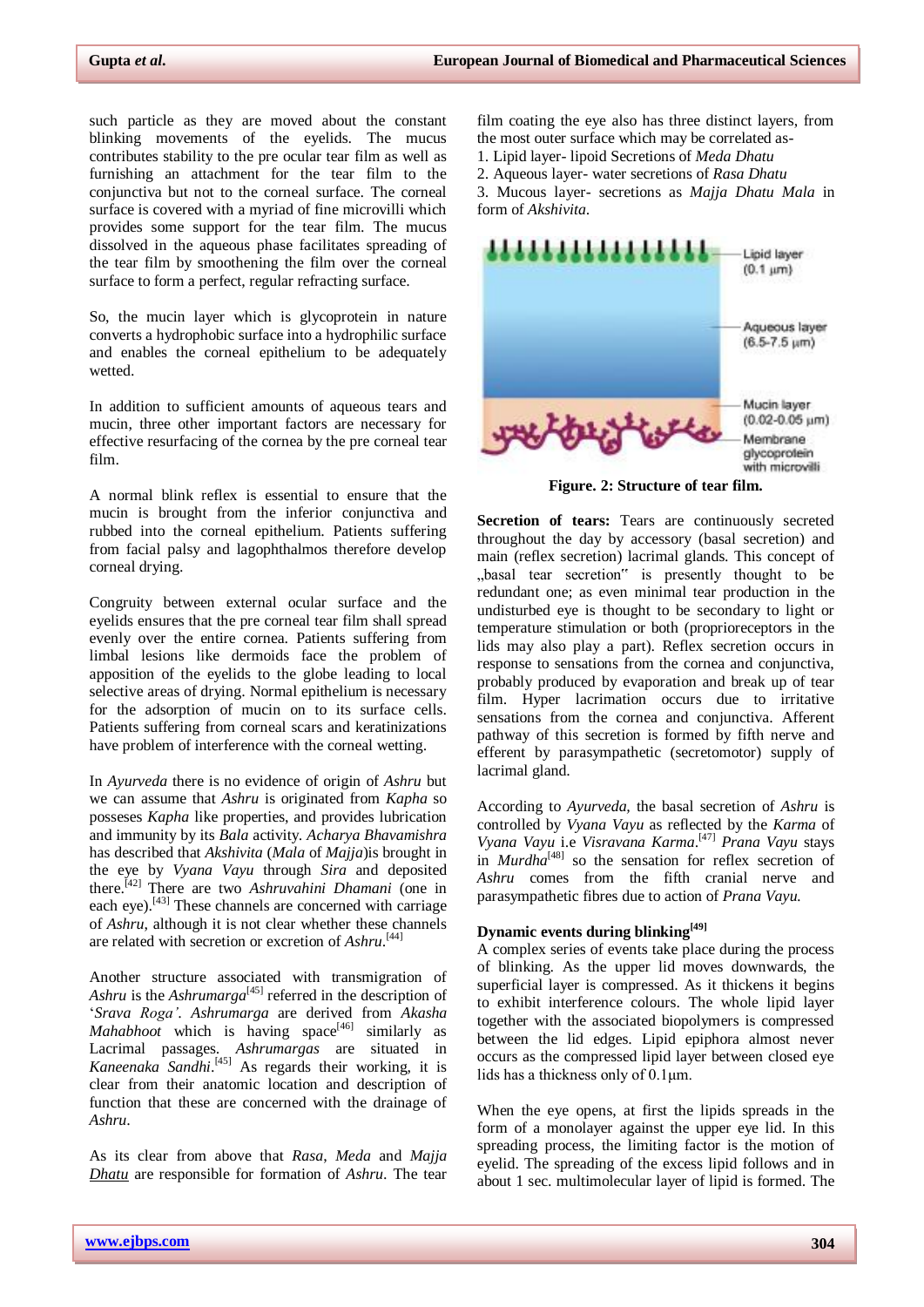such particle as they are moved about the constant blinking movements of the eyelids. The mucus contributes stability to the pre ocular tear film as well as furnishing an attachment for the tear film to the conjunctiva but not to the corneal surface. The corneal surface is covered with a myriad of fine microvilli which provides some support for the tear film. The mucus dissolved in the aqueous phase facilitates spreading of the tear film by smoothening the film over the corneal surface to form a perfect, regular refracting surface.

So, the mucin layer which is glycoprotein in nature converts a hydrophobic surface into a hydrophilic surface and enables the corneal epithelium to be adequately wetted.

In addition to sufficient amounts of aqueous tears and mucin, three other important factors are necessary for effective resurfacing of the cornea by the pre corneal tear film.

A normal blink reflex is essential to ensure that the mucin is brought from the inferior conjunctiva and rubbed into the corneal epithelium. Patients suffering from facial palsy and lagophthalmos therefore develop corneal drying.

Congruity between external ocular surface and the eyelids ensures that the pre corneal tear film shall spread evenly over the entire cornea. Patients suffering from limbal lesions like dermoids face the problem of apposition of the eyelids to the globe leading to local selective areas of drying. Normal epithelium is necessary for the adsorption of mucin on to its surface cells. Patients suffering from corneal scars and keratinizations have problem of interference with the corneal wetting.

In *Ayurveda* there is no evidence of origin of *Ashru* but we can assume that *Ashru* is originated from *Kapha* so posseses *Kapha* like properties, and provides lubrication and immunity by its *Bala* activity. *Acharya Bhavamishra* has described that *Akshivita* (*Mala* of *Majja*)is brought in the eye by *Vyana Vayu* through *Sira* and deposited there. [42] There are two *Ashruvahini Dhamani* (one in each eye).<sup>[43]</sup> These channels are concerned with carriage of *Ashru*, although it is not clear whether these channels are related with secretion or excretion of *Ashru*. [44]

Another structure associated with transmigration of *Ashru* is the *Ashrumarga*<sup>[45]</sup> referred in the description of "*Srava Roga'*. *Ashrumarga* are derived from *Akasha Mahabhoot* which is having space $[46]$  similarly as Lacrimal passages. *Ashrumargas* are situated in *Kaneenaka Sandhi*. [45] As regards their working, it is clear from their anatomic location and description of function that these are concerned with the drainage of *Ashru*.

As its clear from above that *Rasa*, *Meda* and *Majja Dhatu* are responsible for formation of *Ashru*. The tear film coating the eye also has three distinct layers, from the most outer surface which may be correlated as-1. Lipid layer- lipoid Secretions of *Meda Dhatu* 2. Aqueous layer- water secretions of *Rasa Dhatu* 3. Mucous layer- secretions as *Majja Dhatu Mala* in form of *Akshivita*.



**Figure. 2: Structure of tear film.**

**Secretion of tears:** Tears are continuously secreted throughout the day by accessory (basal secretion) and main (reflex secretion) lacrimal glands. This concept of "basal tear secretion" is presently thought to be redundant one; as even minimal tear production in the undisturbed eye is thought to be secondary to light or temperature stimulation or both (proprioreceptors in the lids may also play a part). Reflex secretion occurs in response to sensations from the cornea and conjunctiva, probably produced by evaporation and break up of tear film. Hyper lacrimation occurs due to irritative sensations from the cornea and conjunctiva. Afferent pathway of this secretion is formed by fifth nerve and efferent by parasympathetic (secretomotor) supply of lacrimal gland.

According to *Ayurveda,* the basal secretion of *Ashru* is controlled by *Vyana Vayu* as reflected by the *Karma* of *Vyana Vayu* i.e *Visravana Karma*. [47] *Prana Vayu* stays in *Murdha*<sup>[48]</sup> so the sensation for reflex secretion of *Ashru* comes from the fifth cranial nerve and parasympathetic fibres due to action of *Prana Vayu.*

## **Dynamic events during blinking[49]**

A complex series of events take place during the process of blinking. As the upper lid moves downwards, the superficial layer is compressed. As it thickens it begins to exhibit interference colours. The whole lipid layer together with the associated biopolymers is compressed between the lid edges. Lipid epiphora almost never occurs as the compressed lipid layer between closed eye lids has a thickness only of 0.1μm.

When the eye opens, at first the lipids spreads in the form of a monolayer against the upper eye lid. In this spreading process, the limiting factor is the motion of eyelid. The spreading of the excess lipid follows and in about 1 sec. multimolecular layer of lipid is formed. The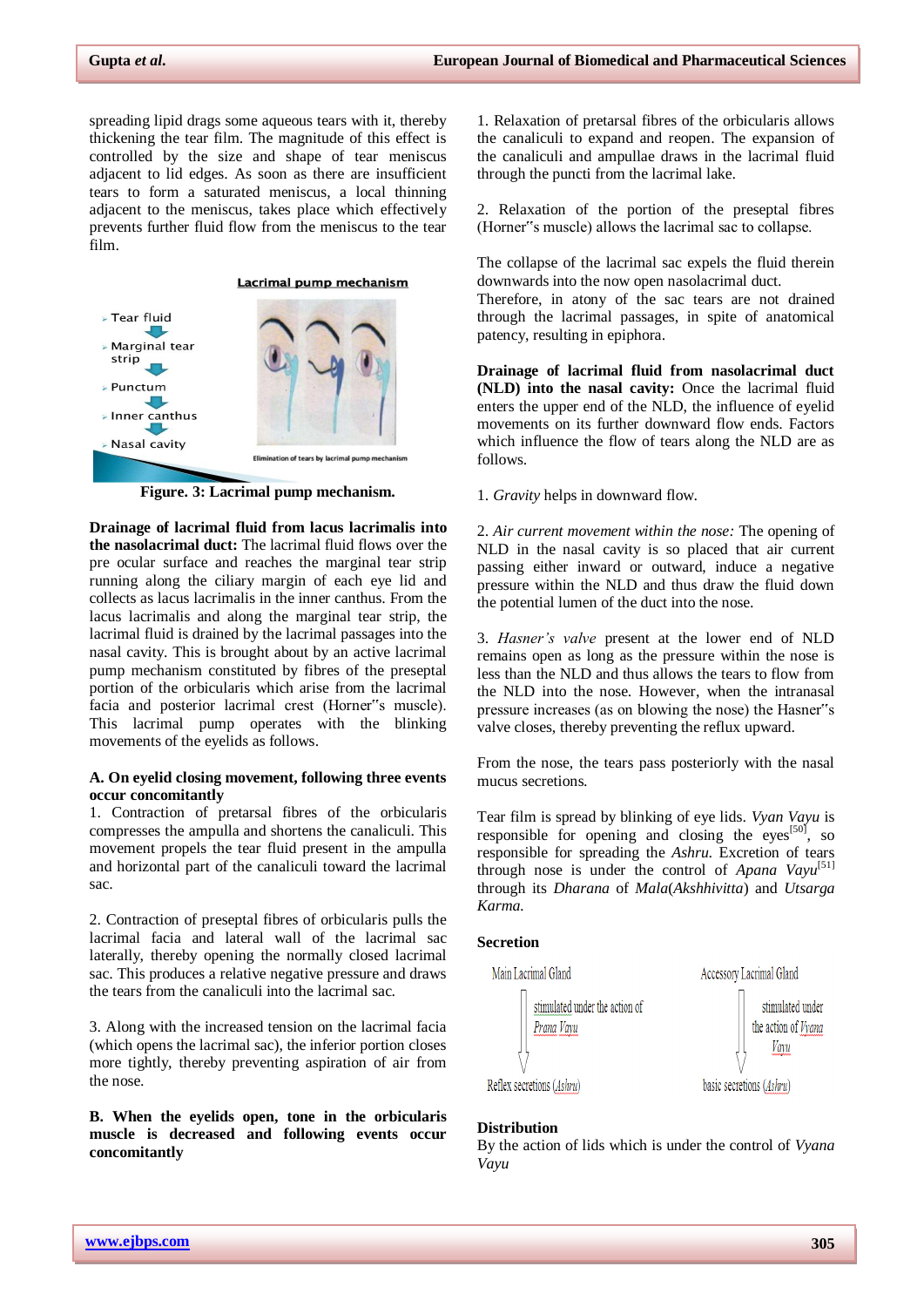spreading lipid drags some aqueous tears with it, thereby thickening the tear film. The magnitude of this effect is controlled by the size and shape of tear meniscus adjacent to lid edges. As soon as there are insufficient tears to form a saturated meniscus, a local thinning adjacent to the meniscus, takes place which effectively prevents further fluid flow from the meniscus to the tear film.



**Figure. 3: Lacrimal pump mechanism.**

**Drainage of lacrimal fluid from lacus lacrimalis into the nasolacrimal duct:** The lacrimal fluid flows over the pre ocular surface and reaches the marginal tear strip running along the ciliary margin of each eye lid and collects as lacus lacrimalis in the inner canthus. From the lacus lacrimalis and along the marginal tear strip, the lacrimal fluid is drained by the lacrimal passages into the nasal cavity. This is brought about by an active lacrimal pump mechanism constituted by fibres of the preseptal portion of the orbicularis which arise from the lacrimal facia and posterior lacrimal crest (Horner"s muscle). This lacrimal pump operates with the blinking movements of the eyelids as follows.

#### **A. On eyelid closing movement, following three events occur concomitantly**

1. Contraction of pretarsal fibres of the orbicularis compresses the ampulla and shortens the canaliculi. This movement propels the tear fluid present in the ampulla and horizontal part of the canaliculi toward the lacrimal sac.

2. Contraction of preseptal fibres of orbicularis pulls the lacrimal facia and lateral wall of the lacrimal sac laterally, thereby opening the normally closed lacrimal sac. This produces a relative negative pressure and draws the tears from the canaliculi into the lacrimal sac.

3. Along with the increased tension on the lacrimal facia (which opens the lacrimal sac), the inferior portion closes more tightly, thereby preventing aspiration of air from the nose.

**B. When the eyelids open, tone in the orbicularis muscle is decreased and following events occur concomitantly**

1. Relaxation of pretarsal fibres of the orbicularis allows the canaliculi to expand and reopen. The expansion of the canaliculi and ampullae draws in the lacrimal fluid through the puncti from the lacrimal lake.

2. Relaxation of the portion of the preseptal fibres (Horner"s muscle) allows the lacrimal sac to collapse.

The collapse of the lacrimal sac expels the fluid therein downwards into the now open nasolacrimal duct. Therefore, in atony of the sac tears are not drained

through the lacrimal passages, in spite of anatomical patency, resulting in epiphora.

**Drainage of lacrimal fluid from nasolacrimal duct (NLD) into the nasal cavity:** Once the lacrimal fluid enters the upper end of the NLD, the influence of eyelid movements on its further downward flow ends. Factors which influence the flow of tears along the NLD are as follows.

1. *Gravity* helps in downward flow.

2. *Air current movement within the nose:* The opening of NLD in the nasal cavity is so placed that air current passing either inward or outward, induce a negative pressure within the NLD and thus draw the fluid down the potential lumen of the duct into the nose.

3. *Hasner's valve* present at the lower end of NLD remains open as long as the pressure within the nose is less than the NLD and thus allows the tears to flow from the NLD into the nose. However, when the intranasal pressure increases (as on blowing the nose) the Hasner"s valve closes, thereby preventing the reflux upward.

From the nose, the tears pass posteriorly with the nasal mucus secretions.

Tear film is spread by blinking of eye lids. *Vyan Vayu* is responsible for opening and closing the eyes<sup>[50]</sup>, so responsible for spreading the *Ashru*. Excretion of tears through nose is under the control of *Apana Vayu*<sup>[51]</sup> through its *Dharana* of *Mala*(*Akshhivitta*) and *Utsarga Karma.*

#### **Secretion**



#### **Distribution**

By the action of lids which is under the control of *Vyana Vayu*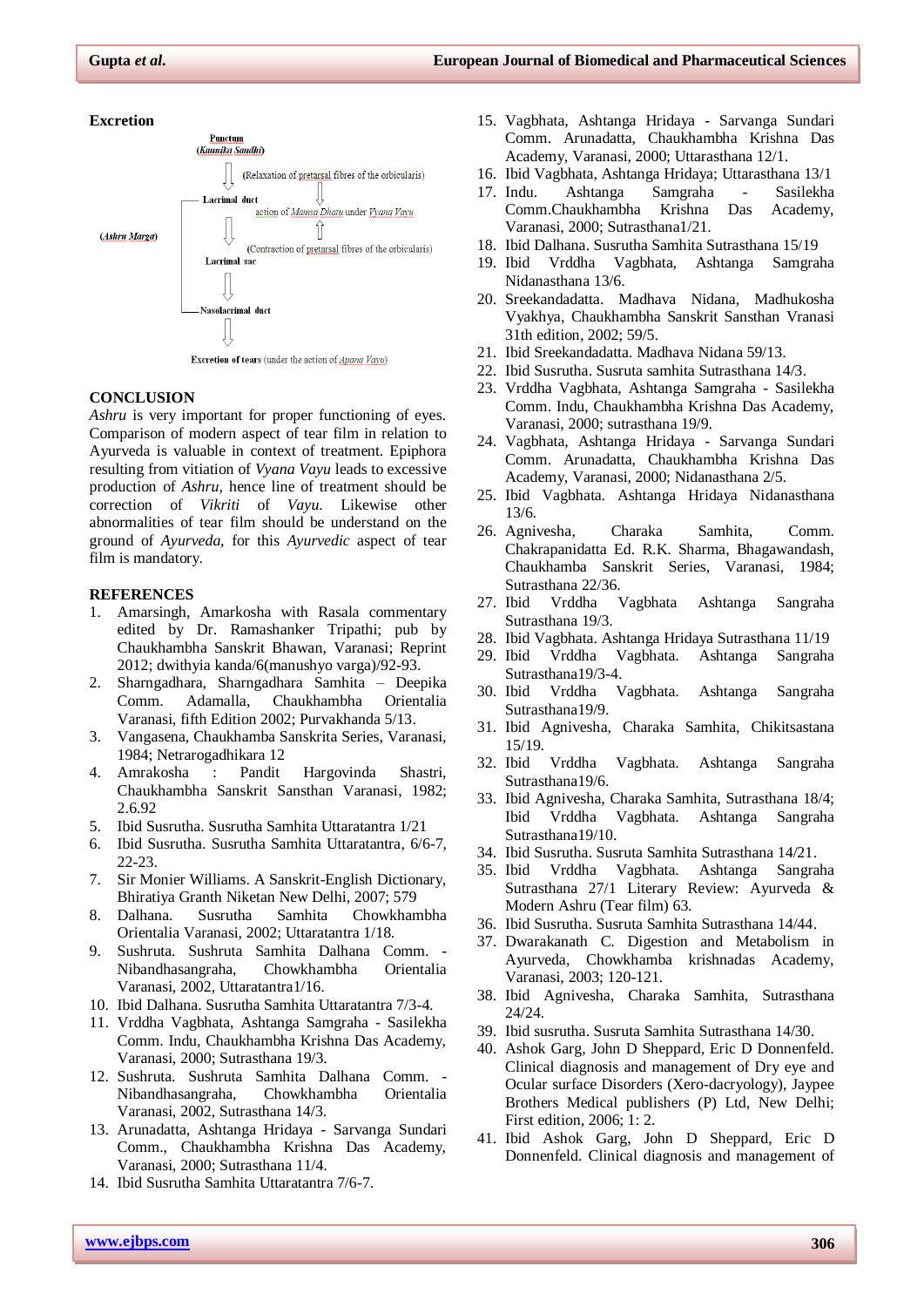



Excretion of tears (under the action of Apana Vayu)

#### **CONCLUSION**

*Ashru* is very important for proper functioning of eyes. Comparison of modern aspect of tear film in relation to Ayurveda is valuable in context of treatment. Epiphora resulting from vitiation of *Vyana Vayu* leads to excessive production of *Ashru*, hence line of treatment should be correction of *Vikriti* of *Vayu.* Likewise other abnormalities of tear film should be understand on the ground of *Ayurveda*, for this *Ayurvedic* aspect of tear film is mandatory.

#### **REFERENCES**

- 1. Amarsingh, Amarkosha with Rasala commentary edited by Dr. Ramashanker Tripathi; pub by Chaukhambha Sanskrit Bhawan, Varanasi; Reprint 2012; dwithyia kanda/6(manushyo varga)/92-93.
- 2. Sharngadhara, Sharngadhara Samhita Deepika Comm. Adamalla, Chaukhambha Orientalia Varanasi, fifth Edition 2002; Purvakhanda 5/13.
- 3. Vangasena, Chaukhamba Sanskrita Series, Varanasi, 1984; Netrarogadhikara 12
- 4. Amrakosha : Pandit Hargovinda Shastri, Chaukhambha Sanskrit Sansthan Varanasi, 1982; 2.6.92
- 5. Ibid Susrutha. Susrutha Samhita Uttaratantra 1/21
- 6. Ibid Susrutha. Susrutha Samhita Uttaratantra, 6/6-7, 22-23.
- 7. Sir Monier Williams. A Sanskrit-English Dictionary, Bhiratiya Granth Niketan New Delhi, 2007; 579
- 8. Dalhana. Susrutha Samhita Chowkhambha Orientalia Varanasi, 2002; Uttaratantra 1/18.
- 9. Sushruta. Sushruta Samhita Dalhana Comm. Nibandhasangraha, Chowkhambha Orientalia Varanasi, 2002, Uttaratantra1/16.
- 10. Ibid Dalhana. Susrutha Samhita Uttaratantra 7/3-4.
- 11. Vrddha Vagbhata, Ashtanga Samgraha Sasilekha Comm. Indu, Chaukhambha Krishna Das Academy, Varanasi, 2000; Sutrasthana 19/3.
- 12. Sushruta. Sushruta Samhita Dalhana Comm. Nibandhasangraha, Chowkhambha Orientalia Varanasi, 2002, Sutrasthana 14/3.
- 13. Arunadatta, Ashtanga Hridaya Sarvanga Sundari Comm., Chaukhambha Krishna Das Academy, Varanasi, 2000; Sutrasthana 11/4.
- 14. Ibid Susrutha Samhita Uttaratantra 7/6-7.
- 15. Vagbhata, Ashtanga Hridaya Sarvanga Sundari Comm. Arunadatta, Chaukhambha Krishna Das Academy, Varanasi, 2000; Uttarasthana 12/1.
- 16. Ibid Vagbhata, Ashtanga Hridaya; Uttarasthana 13/1
- 17. Indu. Ashtanga Samgraha Sasilekha Comm.Chaukhambha Krishna Das Academy, Varanasi, 2000; Sutrasthana1/21.
- 18. Ibid Dalhana. Susrutha Samhita Sutrasthana 15/19
- 19. Ibid Vrddha Vagbhata, Ashtanga Samgraha Nidanasthana 13/6.
- 20. Sreekandadatta. Madhava Nidana, Madhukosha Vyakhya, Chaukhambha Sanskrit Sansthan Vranasi 31th edition, 2002; 59/5.
- 21. Ibid Sreekandadatta. Madhava Nidana 59/13.
- 22. Ibid Susrutha. Susruta samhita Sutrasthana 14/3.
- 23. Vrddha Vagbhata, Ashtanga Samgraha Sasilekha Comm. Indu, Chaukhambha Krishna Das Academy, Varanasi, 2000; sutrasthana 19/9.
- 24. Vagbhata, Ashtanga Hridaya Sarvanga Sundari Comm. Arunadatta, Chaukhambha Krishna Das Academy, Varanasi, 2000; Nidanasthana 2/5.
- 25. Ibid Vagbhata. Ashtanga Hridaya Nidanasthana 13/6.
- 26. Agnivesha, Charaka Samhita, Comm. Chakrapanidatta Ed. R.K. Sharma, Bhagawandash, Chaukhamba Sanskrit Series, Varanasi, 1984; Sutrasthana 22/36.
- 27. Ibid Vrddha Vagbhata Ashtanga Sangraha Sutrasthana 19/3.
- 28. Ibid Vagbhata. Ashtanga Hridaya Sutrasthana 11/19
- 29. Ibid Vrddha Vagbhata. Ashtanga Sangraha Sutrasthana19/3-4.
- 30. Ibid Vrddha Vagbhata. Ashtanga Sangraha Sutrasthana19/9.
- 31. Ibid Agnivesha, Charaka Samhita, Chikitsastana 15/19.
- 32. Ibid Vrddha Vagbhata. Ashtanga Sangraha Sutrasthana19/6.
- 33. Ibid Agnivesha, Charaka Samhita, Sutrasthana 18/4; Ibid Vrddha Vagbhata. Ashtanga Sangraha Sutrasthana19/10.
- 34. Ibid Susrutha. Susruta Samhita Sutrasthana 14/21.
- 35. Ibid Vrddha Vagbhata. Ashtanga Sangraha Sutrasthana 27/1 Literary Review: Ayurveda & Modern Ashru (Tear film) 63.
- 36. Ibid Susrutha. Susruta Samhita Sutrasthana 14/44.
- 37. Dwarakanath C. Digestion and Metabolism in Ayurveda, Chowkhamba krishnadas Academy, Varanasi, 2003; 120-121.
- 38. Ibid Agnivesha, Charaka Samhita, Sutrasthana 24/24.
- 39. Ibid susrutha. Susruta Samhita Sutrasthana 14/30.
- 40. Ashok Garg, John D Sheppard, Eric D Donnenfeld. Clinical diagnosis and management of Dry eye and Ocular surface Disorders (Xero-dacryology), Jaypee Brothers Medical publishers (P) Ltd, New Delhi; First edition, 2006; 1: 2.
- 41. Ibid Ashok Garg, John D Sheppard, Eric D Donnenfeld. Clinical diagnosis and management of